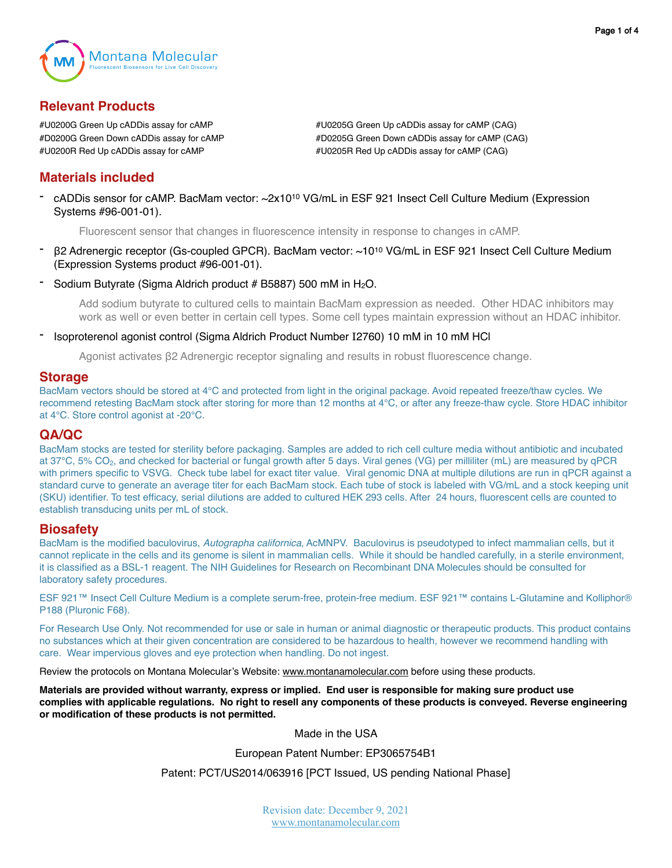

# **Relevant Products**

#U0200G Green Up cADDis assay for cAMP #U0205G Green Up cADDis assay for cAMP (CAG) #D0200G Green Down cADDis assay for cAMP #D0205G Green Down cADDis assay for cAMP (CAG) #U0200R Red Up cADDis assay for cAMP #U0205R Red Up cADDis assay for cAMP (CAG)

# **Materials included**

- cADDis sensor for cAMP. BacMam vector: ~2x1010 VG/mL in ESF 921 Insect Cell Culture Medium (Expression Systems #96-001-01).

Fluorescent sensor that changes in fluorescence intensity in response to changes in cAMP.

- β2 Adrenergic receptor (Gs-coupled GPCR). BacMam vector: ~1010 VG/mL in ESF 921 Insect Cell Culture Medium (Expression Systems product #96-001-01).
- Sodium Butyrate (Sigma Aldrich product  $# B5887$ ) 500 mM in  $H<sub>2</sub>O$ .

Add sodium butyrate to cultured cells to maintain BacMam expression as needed. Other HDAC inhibitors may work as well or even better in certain cell types. Some cell types maintain expression without an HDAC inhibitor.

- Isoproterenol agonist control (Sigma Aldrich Product Number I2760) 10 mM in 10 mM HCl

Agonist activates β2 Adrenergic receptor signaling and results in robust fluorescence change.

## **Storage**

BacMam vectors should be stored at 4°C and protected from light in the original package. Avoid repeated freeze/thaw cycles. We recommend retesting BacMam stock after storing for more than 12 months at 4°C, or after any freeze-thaw cycle. Store HDAC inhibitor at 4°C. Store control agonist at -20°C.

## **QA/QC**

BacMam stocks are tested for sterility before packaging. Samples are added to rich cell culture media without antibiotic and incubated at 37°C, 5% CO<sub>2</sub>, and checked for bacterial or fungal growth after 5 days. Viral genes (VG) per milliliter (mL) are measured by qPCR with primers specific to VSVG. Check tube label for exact titer value. Viral genomic DNA at multiple dilutions are run in qPCR against a standard curve to generate an average titer for each BacMam stock. Each tube of stock is labeled with VG/mL and a stock keeping unit (SKU) identifier. To test efficacy, serial dilutions are added to cultured HEK 293 cells. After 24 hours, fluorescent cells are counted to establish transducing units per mL of stock.

## **Biosafety**

BacMam is the modified baculovirus, *Autographa californica*, AcMNPV. Baculovirus is pseudotyped to infect mammalian cells, but it cannot replicate in the cells and its genome is silent in mammalian cells. While it should be handled carefully, in a sterile environment, it is classified as a BSL-1 reagent. The NIH Guidelines for Research on Recombinant DNA Molecules should be consulted for laboratory safety procedures.

ESF 921™ Insect Cell Culture Medium is a complete serum-free, protein-free medium. ESF 921™ contains L-Glutamine and Kolliphor® P188 (Pluronic F68).

For Research Use Only. Not recommended for use or sale in human or animal diagnostic or therapeutic products. This product contains no substances which at their given concentration are considered to be hazardous to health, however we recommend handling with care. Wear impervious gloves and eye protection when handling. Do not ingest.

Review the protocols on Montana Molecular's Website: [www.montanamolecular.com](http://www.montanamolecular.com) before using these products.

**Materials are provided without warranty, express or implied. End user is responsible for making sure product use complies with applicable regulations. No right to resell any components of these products is conveyed. Reverse engineering or modification of these products is not permitted.** 

Made in the USA

European Patent Number: EP3065754B1

Patent: PCT/US2014/063916 [PCT Issued, US pending National Phase]

Revision date: December 9, 2021 [www.montanamolecular.com](http://www.montanamolecular.com)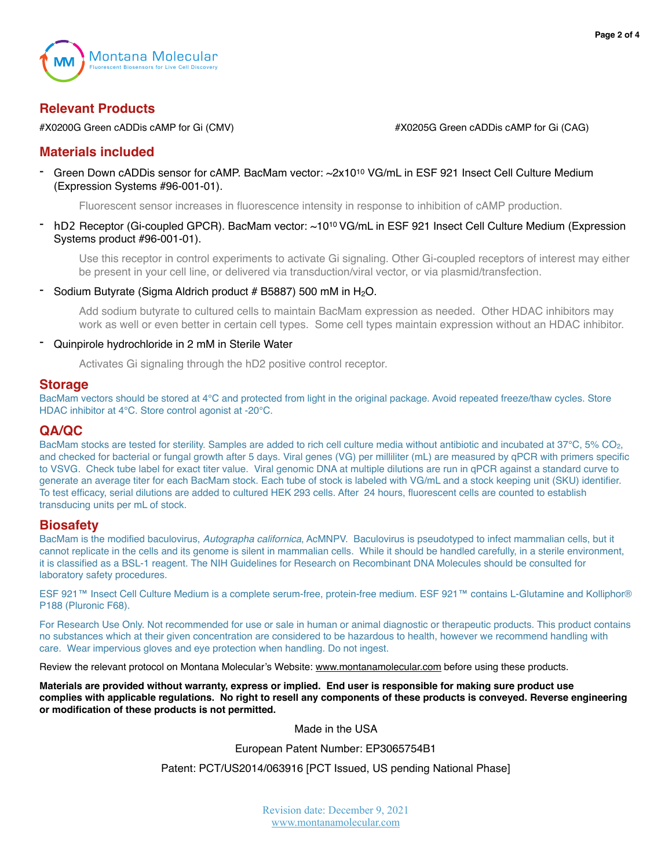

# **Relevant Products**

#X0200G Green cADDis cAMP for Gi (CMV) #X0205G Green cADDis cAMP for Gi (CAG)

## **Materials included**

Green Down cADDis sensor for cAMP. BacMam vector: ~2x10<sup>10</sup> VG/mL in ESF 921 Insect Cell Culture Medium (Expression Systems #96-001-01).

Fluorescent sensor increases in fluorescence intensity in response to inhibition of cAMP production.

hD2 Receptor (Gi-coupled GPCR). BacMam vector: ~10<sup>10</sup> VG/mL in ESF 921 Insect Cell Culture Medium (Expression Systems product #96-001-01).

Use this receptor in control experiments to activate Gi signaling. Other Gi-coupled receptors of interest may either be present in your cell line, or delivered via transduction/viral vector, or via plasmid/transfection.

Sodium Butyrate (Sigma Aldrich product  $# B5887$ ) 500 mM in  $H_2O$ .

Add sodium butyrate to cultured cells to maintain BacMam expression as needed. Other HDAC inhibitors may work as well or even better in certain cell types. Some cell types maintain expression without an HDAC inhibitor.

#### - Quinpirole hydrochloride in 2 mM in Sterile Water

Activates Gi signaling through the hD2 positive control receptor.

## **Storage**

BacMam vectors should be stored at 4°C and protected from light in the original package. Avoid repeated freeze/thaw cycles. Store HDAC inhibitor at 4°C. Store control agonist at -20°C.

## **QA/QC**

BacMam stocks are tested for sterility. Samples are added to rich cell culture media without antibiotic and incubated at 37°C, 5% CO2, and checked for bacterial or fungal growth after 5 days. Viral genes (VG) per milliliter (mL) are measured by qPCR with primers specific to VSVG. Check tube label for exact titer value. Viral genomic DNA at multiple dilutions are run in qPCR against a standard curve to generate an average titer for each BacMam stock. Each tube of stock is labeled with VG/mL and a stock keeping unit (SKU) identifier. To test efficacy, serial dilutions are added to cultured HEK 293 cells. After 24 hours, fluorescent cells are counted to establish transducing units per mL of stock.

#### **Biosafety**

BacMam is the modified baculovirus, *Autographa californica*, AcMNPV. Baculovirus is pseudotyped to infect mammalian cells, but it cannot replicate in the cells and its genome is silent in mammalian cells. While it should be handled carefully, in a sterile environment, it is classified as a BSL-1 reagent. The NIH Guidelines for Research on Recombinant DNA Molecules should be consulted for laboratory safety procedures.

ESF 921™ Insect Cell Culture Medium is a complete serum-free, protein-free medium. ESF 921™ contains L-Glutamine and Kolliphor® P188 (Pluronic F68).

For Research Use Only. Not recommended for use or sale in human or animal diagnostic or therapeutic products. This product contains no substances which at their given concentration are considered to be hazardous to health, however we recommend handling with care. Wear impervious gloves and eye protection when handling. Do not ingest.

Review the relevant protocol on Montana Molecular's Website: [www.montanamolecular.com](http://www.montanamolecular.com) before using these products.

**Materials are provided without warranty, express or implied. End user is responsible for making sure product use complies with applicable regulations. No right to resell any components of these products is conveyed. Reverse engineering or modification of these products is not permitted.** 

Made in the USA

European Patent Number: EP3065754B1

Patent: PCT/US2014/063916 [PCT Issued, US pending National Phase]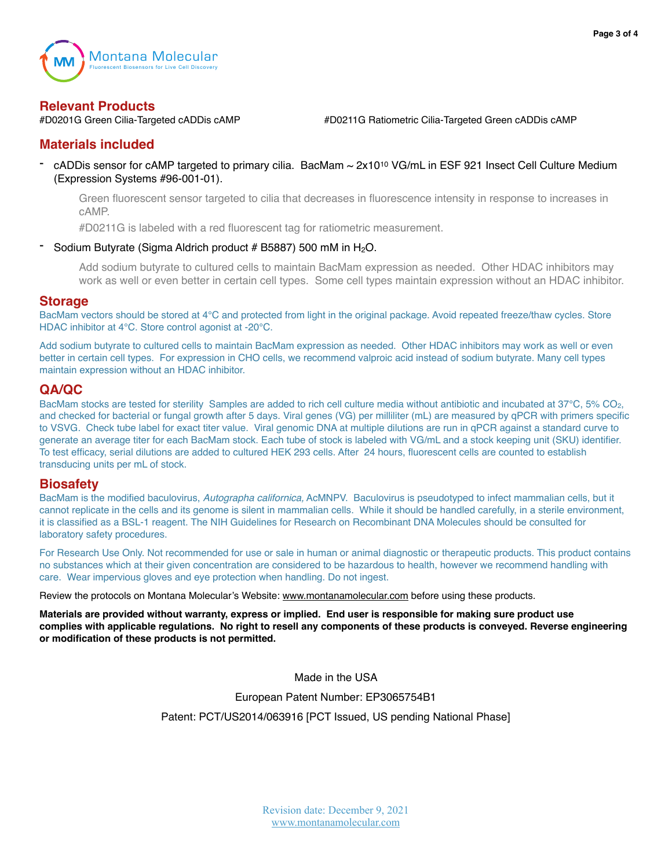

**Relevant Products**<br>#D0201G Green Cilia-Targeted cADDis cAMP

#D0211G Ratiometric Cilia-Targeted Green cADDis cAMP

## **Materials included**

cADDis sensor for cAMP targeted to primary cilia. BacMam ~ 2x10<sup>10</sup> VG/mL in ESF 921 Insect Cell Culture Medium (Expression Systems #96-001-01).

Green fluorescent sensor targeted to cilia that decreases in fluorescence intensity in response to increases in cAMP.

#D0211G is labeled with a red fluorescent tag for ratiometric measurement.

## Sodium Butyrate (Sigma Aldrich product # B5887) 500 mM in H<sub>2</sub>O.

Add sodium butyrate to cultured cells to maintain BacMam expression as needed. Other HDAC inhibitors may work as well or even better in certain cell types. Some cell types maintain expression without an HDAC inhibitor.

## **Storage**

BacMam vectors should be stored at 4°C and protected from light in the original package. Avoid repeated freeze/thaw cycles. Store HDAC inhibitor at 4°C. Store control agonist at -20°C.

Add sodium butyrate to cultured cells to maintain BacMam expression as needed. Other HDAC inhibitors may work as well or even better in certain cell types. For expression in CHO cells, we recommend valproic acid instead of sodium butyrate. Many cell types maintain expression without an HDAC inhibitor.

## **QA/QC**

BacMam stocks are tested for sterility Samples are added to rich cell culture media without antibiotic and incubated at 37°C, 5% CO2, and checked for bacterial or fungal growth after 5 days. Viral genes (VG) per milliliter (mL) are measured by qPCR with primers specific to VSVG. Check tube label for exact titer value. Viral genomic DNA at multiple dilutions are run in qPCR against a standard curve to generate an average titer for each BacMam stock. Each tube of stock is labeled with VG/mL and a stock keeping unit (SKU) identifier. To test efficacy, serial dilutions are added to cultured HEK 293 cells. After 24 hours, fluorescent cells are counted to establish transducing units per mL of stock.

## **Biosafety**

BacMam is the modified baculovirus, *Autographa californica,* AcMNPV. Baculovirus is pseudotyped to infect mammalian cells, but it cannot replicate in the cells and its genome is silent in mammalian cells. While it should be handled carefully, in a sterile environment, it is classified as a BSL-1 reagent. The NIH Guidelines for Research on Recombinant DNA Molecules should be consulted for laboratory safety procedures.

For Research Use Only. Not recommended for use or sale in human or animal diagnostic or therapeutic products. This product contains no substances which at their given concentration are considered to be hazardous to health, however we recommend handling with care. Wear impervious gloves and eye protection when handling. Do not ingest.

Review the protocols on Montana Molecular's Website: [www.montanamolecular.com](http://www.montanamolecular.com) before using these products.

**Materials are provided without warranty, express or implied. End user is responsible for making sure product use complies with applicable regulations. No right to resell any components of these products is conveyed. Reverse engineering or modification of these products is not permitted.** 

Made in the USA

European Patent Number: EP3065754B1

Patent: PCT/US2014/063916 [PCT Issued, US pending National Phase]